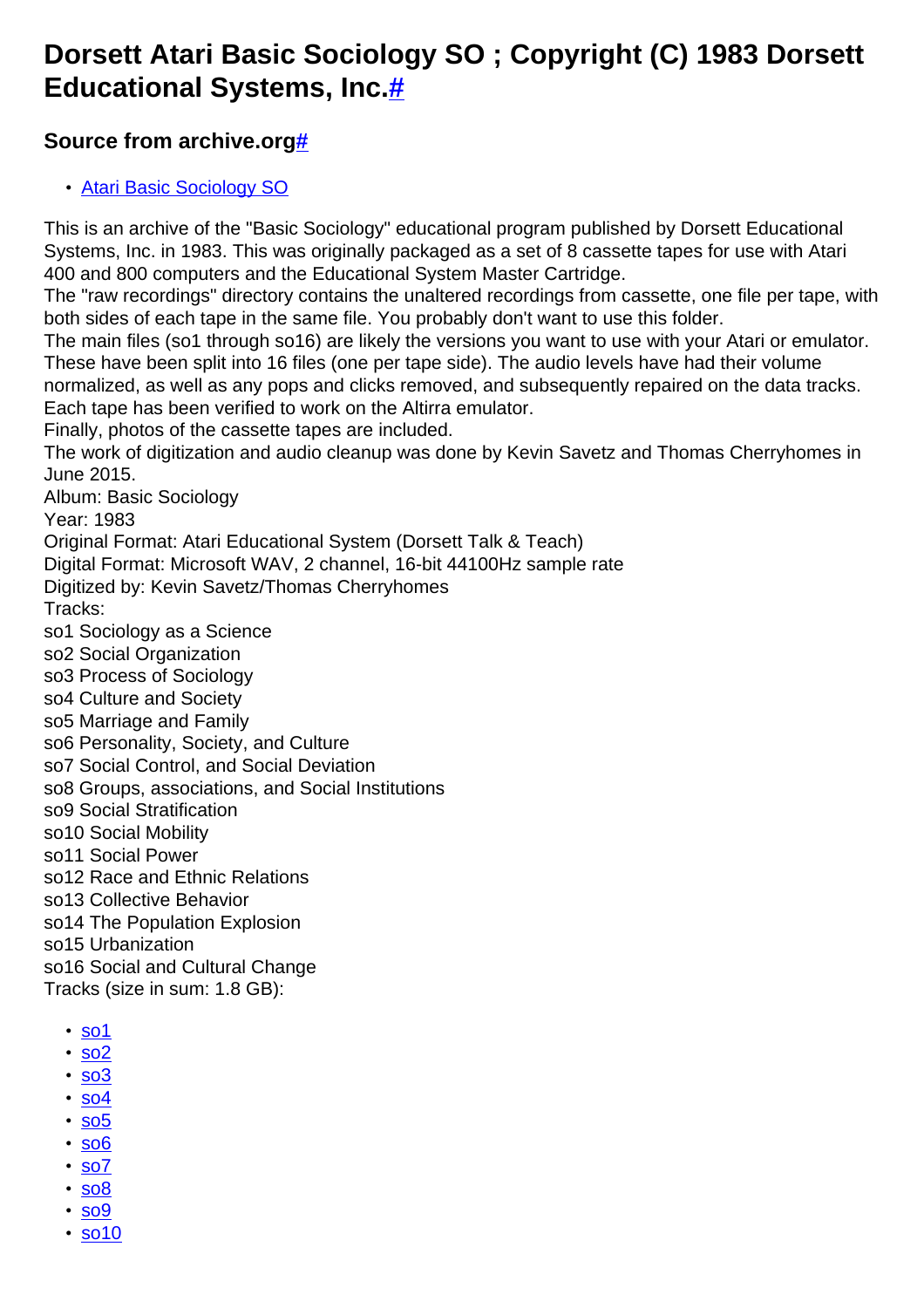## **Dorsett Atari Basic Sociology SO ; Copyright (C) 1983 Dorsett Educational Systems, Inc[.#](http://[fd00::119]:8080/wiki/#section-Basic+Sociology+SO-DorsettAtariBasicSociologySOCopyrightC1983DorsettEducationalSystemsInc.)**

## **Source from archive.org[#](http://[fd00::119]:8080/wiki/#section-Basic+Sociology+SO-SourceFromArchive.org)**

• [Atari Basic Sociology SO](https://archive.org/details/DorsettAtariBasicSociology)

This is an archive of the "Basic Sociology" educational program published by Dorsett Educational Systems, Inc. in 1983. This was originally packaged as a set of 8 cassette tapes for use with Atari 400 and 800 computers and the Educational System Master Cartridge.

The "raw recordings" directory contains the unaltered recordings from cassette, one file per tape, with both sides of each tape in the same file. You probably don't want to use this folder.

The main files (so1 through so16) are likely the versions you want to use with your Atari or emulator. These have been split into 16 files (one per tape side). The audio levels have had their volume normalized, as well as any pops and clicks removed, and subsequently repaired on the data tracks. Each tape has been verified to work on the Altirra emulator.

Finally, photos of the cassette tapes are included.

The work of digitization and audio cleanup was done by Kevin Savetz and Thomas Cherryhomes in June 2015.

Album: Basic Sociology

Year: 1983

Original Format: Atari Educational System (Dorsett Talk & Teach)

Digital Format: Microsoft WAV, 2 channel, 16-bit 44100Hz sample rate

Digitized by: Kevin Savetz/Thomas Cherryhomes

Tracks:

so1 Sociology as a Science

so2 Social Organization

so3 Process of Sociology

so4 Culture and Society

so5 Marriage and Family

so6 Personality, Society, and Culture

so7 Social Control, and Social Deviation

so8 Groups, associations, and Social Institutions

so9 Social Stratification

so10 Social Mobility

so11 Social Power

so12 Race and Ethnic Relations

so13 Collective Behavior

so14 The Population Explosion

so15 Urbanization

so16 Social and Cultural Change

Tracks (size in sum: 1.8 GB):

- [so1](http://data.atariwiki.org/FLAC/Basic_Sociology/so1.flac)
- [so2](http://data.atariwiki.org/FLAC/Basic_Sociology/so2.flac)
- [so3](http://data.atariwiki.org/FLAC/Basic_Sociology/so3.flac)
- [so4](http://data.atariwiki.org/FLAC/Basic_Sociology/so4.flac)
- [so5](http://data.atariwiki.org/FLAC/Basic_Sociology/so5.flac)
- [so6](http://data.atariwiki.org/FLAC/Basic_Sociology/so6.flac)
- [so7](http://data.atariwiki.org/FLAC/Basic_Sociology/so7.flac)
- [so8](http://data.atariwiki.org/FLAC/Basic_Sociology/so8.flac)
- [so9](http://data.atariwiki.org/FLAC/Basic_Sociology/so9.flac)
- [so10](http://data.atariwiki.org/FLAC/Basic_Sociology/so10.flac)